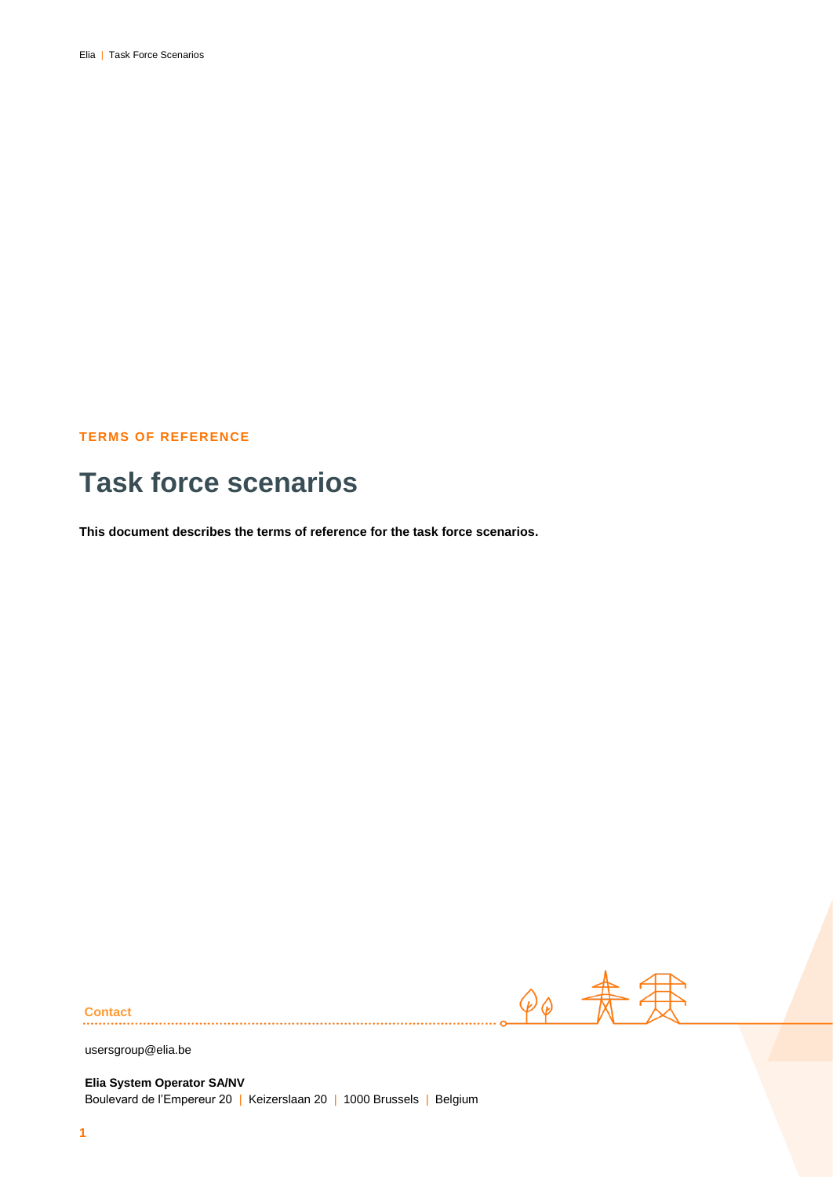### **TERMS OF REFERENCE**

# **Task force scenarios**

**This document describes the terms of reference for the task force scenarios.**

 $90$   $\#$ 

**Contact**

usersgroup@elia.be

**Elia System Operator SA/NV** Boulevard de l'Empereur 20 | Keizerslaan 20 | 1000 Brussels | Belgium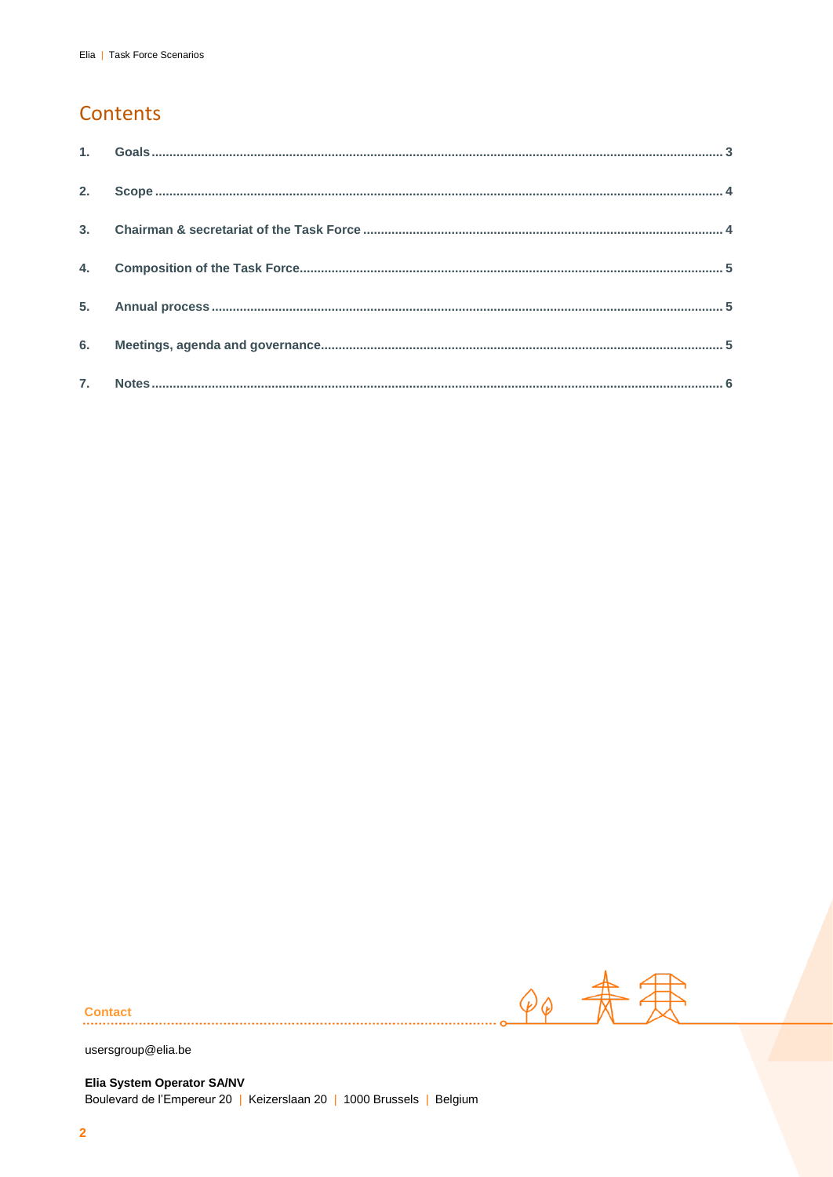# Contents

| 4. |  |
|----|--|
|    |  |
|    |  |
|    |  |

90 寿君

**Contact** 

usersgroup@elia.be

Elia System Operator SA/NV Boulevard de l'Empereur 20 | Keizerslaan 20 | 1000 Brussels | Belgium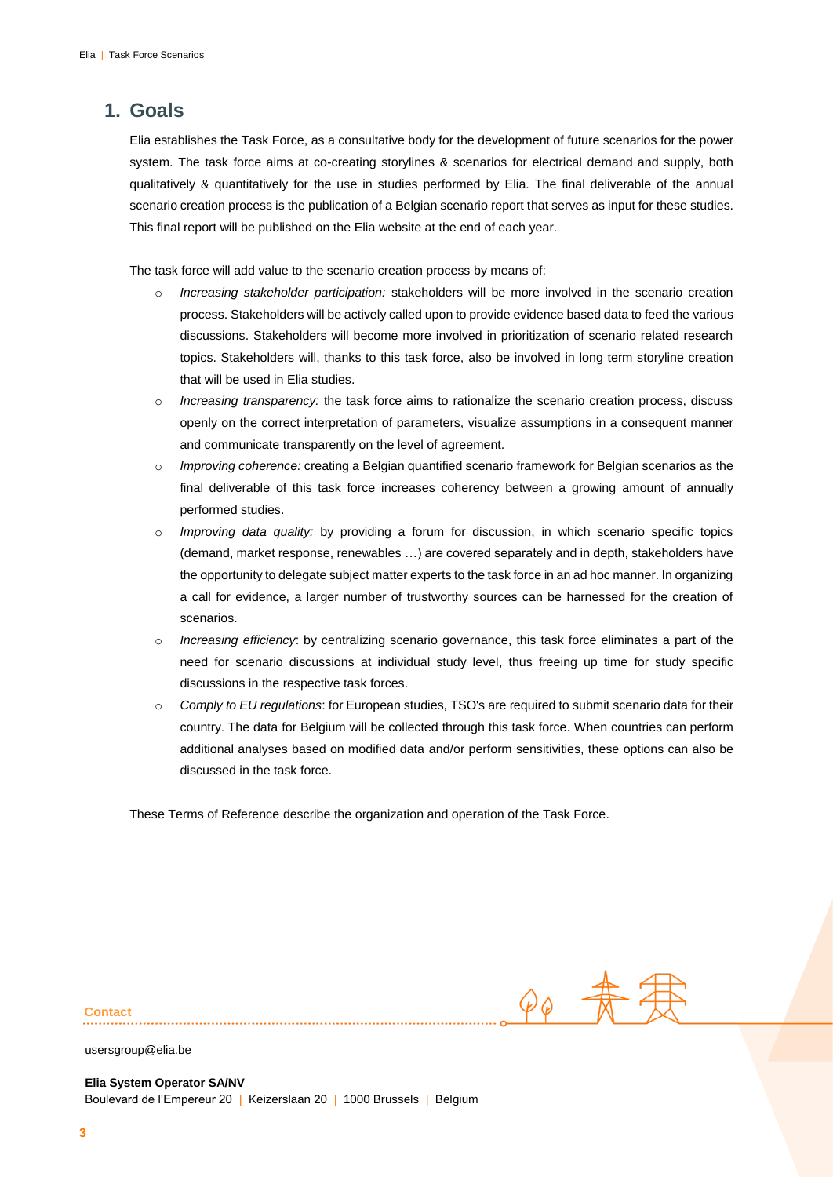### <span id="page-2-0"></span>**1. Goals**

Elia establishes the Task Force, as a consultative body for the development of future scenarios for the power system. The task force aims at co-creating storylines & scenarios for electrical demand and supply, both qualitatively & quantitatively for the use in studies performed by Elia. The final deliverable of the annual scenario creation process is the publication of a Belgian scenario report that serves as input for these studies. This final report will be published on the Elia website at the end of each year.

The task force will add value to the scenario creation process by means of:

- o *Increasing stakeholder participation:* stakeholders will be more involved in the scenario creation process. Stakeholders will be actively called upon to provide evidence based data to feed the various discussions. Stakeholders will become more involved in prioritization of scenario related research topics. Stakeholders will, thanks to this task force, also be involved in long term storyline creation that will be used in Elia studies.
- o *Increasing transparency:* the task force aims to rationalize the scenario creation process, discuss openly on the correct interpretation of parameters, visualize assumptions in a consequent manner and communicate transparently on the level of agreement.
- o *Improving coherence:* creating a Belgian quantified scenario framework for Belgian scenarios as the final deliverable of this task force increases coherency between a growing amount of annually performed studies.
- o *Improving data quality:* by providing a forum for discussion, in which scenario specific topics (demand, market response, renewables …) are covered separately and in depth, stakeholders have the opportunity to delegate subject matter experts to the task force in an ad hoc manner. In organizing a call for evidence, a larger number of trustworthy sources can be harnessed for the creation of scenarios.
- o *Increasing efficiency*: by centralizing scenario governance, this task force eliminates a part of the need for scenario discussions at individual study level, thus freeing up time for study specific discussions in the respective task forces.
- o *Comply to EU regulations*: for European studies, TSO's are required to submit scenario data for their country. The data for Belgium will be collected through this task force. When countries can perform additional analyses based on modified data and/or perform sensitivities, these options can also be discussed in the task force.

<span id="page-2-1"></span>These Terms of Reference describe the organization and operation of the Task Force.

**Contact**

 $\varphi_{\varphi}$   $\frac{1}{N}$ 

usersgroup@elia.be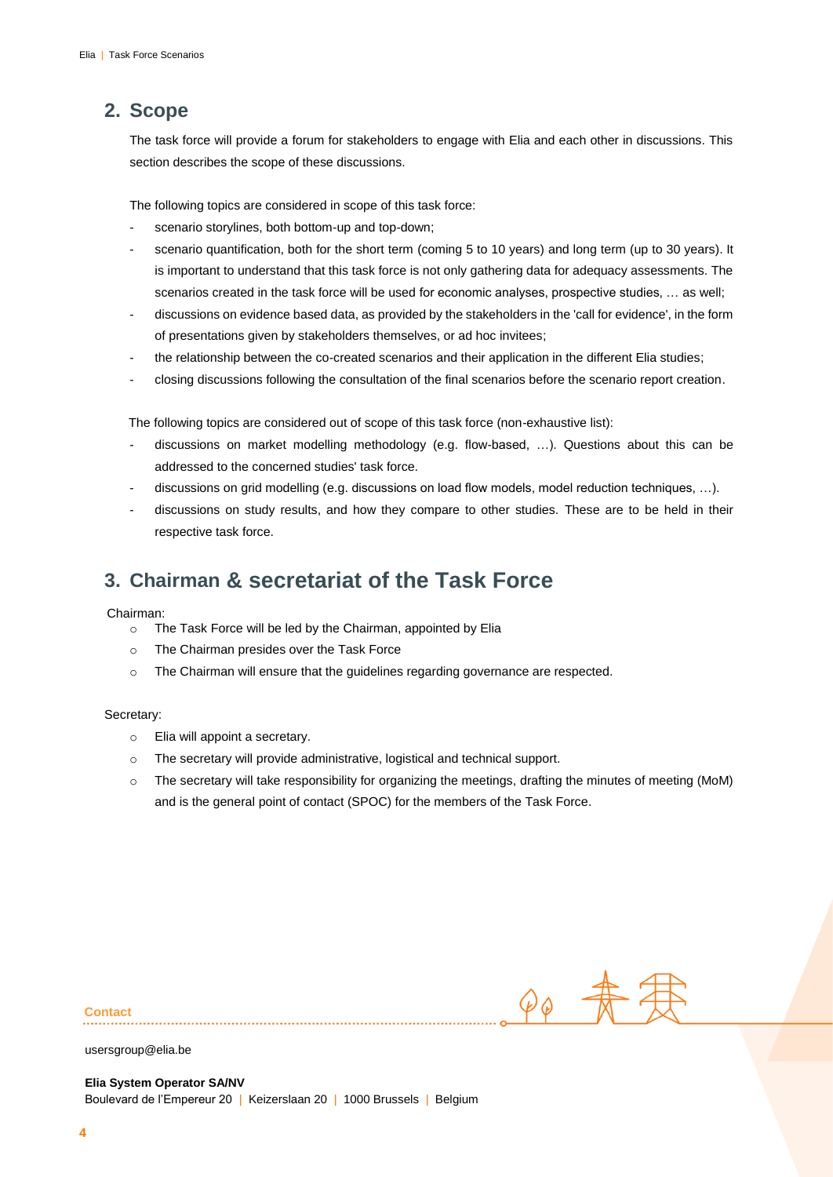## **2. Scope**

The task force will provide a forum for stakeholders to engage with Elia and each other in discussions. This section describes the scope of these discussions.

The following topics are considered in scope of this task force:

- scenario storylines, both bottom-up and top-down;
- scenario quantification, both for the short term (coming 5 to 10 years) and long term (up to 30 years). It is important to understand that this task force is not only gathering data for adequacy assessments. The scenarios created in the task force will be used for economic analyses, prospective studies, … as well;
- discussions on evidence based data, as provided by the stakeholders in the 'call for evidence', in the form of presentations given by stakeholders themselves, or ad hoc invitees;
- the relationship between the co-created scenarios and their application in the different Elia studies;
- closing discussions following the consultation of the final scenarios before the scenario report creation.

The following topics are considered out of scope of this task force (non-exhaustive list):

- discussions on market modelling methodology (e.g. flow-based, ...). Questions about this can be addressed to the concerned studies' task force.
- discussions on grid modelling (e.g. discussions on load flow models, model reduction techniques, ...).
- discussions on study results, and how they compare to other studies. These are to be held in their respective task force.

# <span id="page-3-0"></span>**3. Chairman & secretariat of the Task Force**

#### Chairman:

- o The Task Force will be led by the Chairman, appointed by Elia
- o The Chairman presides over the Task Force
- o The Chairman will ensure that the guidelines regarding governance are respected.

#### Secretary:

- o Elia will appoint a secretary.
- o The secretary will provide administrative, logistical and technical support.
- <span id="page-3-1"></span>o The secretary will take responsibility for organizing the meetings, drafting the minutes of meeting (MoM) and is the general point of contact (SPOC) for the members of the Task Force.

 $90$ 

**Contact**

usersgroup@elia.be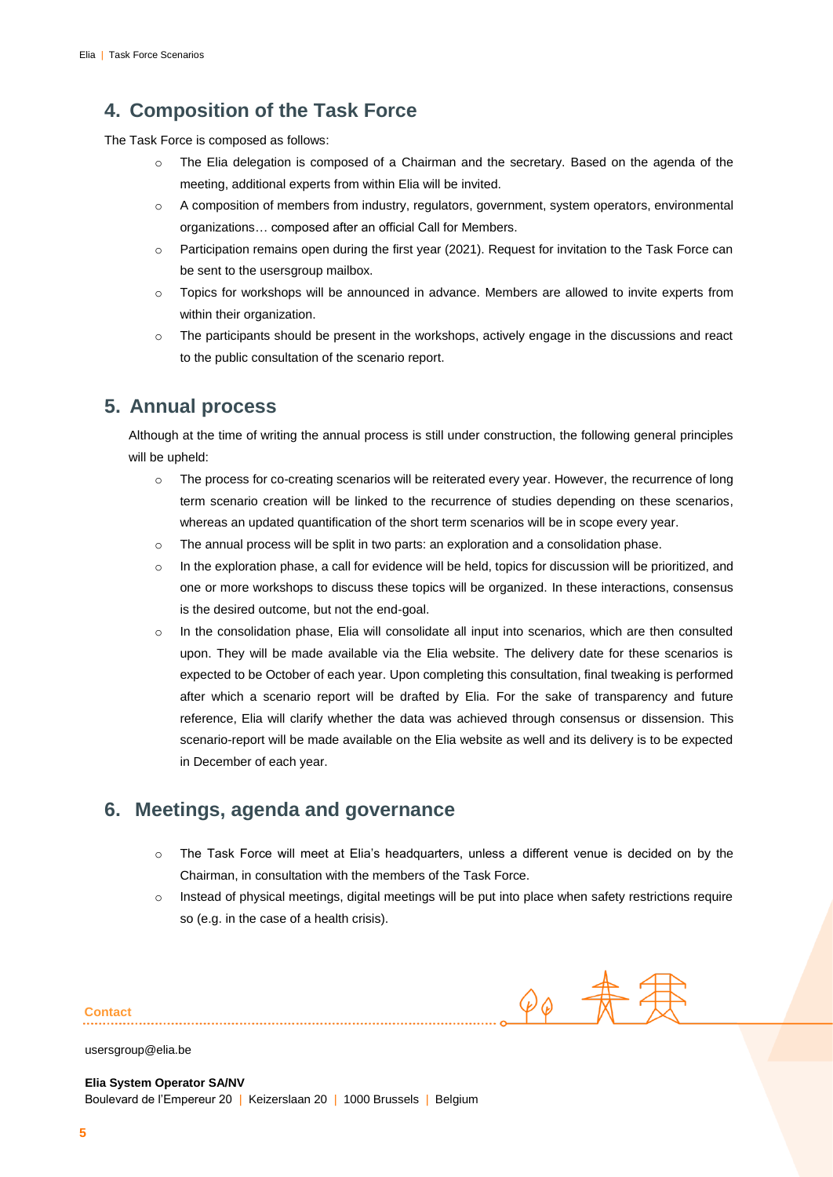## **4. Composition of the Task Force**

The Task Force is composed as follows:

- o The Elia delegation is composed of a Chairman and the secretary. Based on the agenda of the meeting, additional experts from within Elia will be invited.
- o A composition of members from industry, regulators, government, system operators, environmental organizations… composed after an official Call for Members.
- o Participation remains open during the first year (2021). Request for invitation to the Task Force can be sent to the usersgroup mailbox.
- o Topics for workshops will be announced in advance. Members are allowed to invite experts from within their organization.
- $\circ$  The participants should be present in the workshops, actively engage in the discussions and react to the public consultation of the scenario report.

## <span id="page-4-0"></span>**5. Annual process**

Although at the time of writing the annual process is still under construction, the following general principles will be upheld:

- o The process for co-creating scenarios will be reiterated every year. However, the recurrence of long term scenario creation will be linked to the recurrence of studies depending on these scenarios, whereas an updated quantification of the short term scenarios will be in scope every year.
- $\circ$  The annual process will be split in two parts: an exploration and a consolidation phase.
- o In the exploration phase, a call for evidence will be held, topics for discussion will be prioritized, and one or more workshops to discuss these topics will be organized. In these interactions, consensus is the desired outcome, but not the end-goal.
- $\circ$  In the consolidation phase, Elia will consolidate all input into scenarios, which are then consulted upon. They will be made available via the Elia website. The delivery date for these scenarios is expected to be October of each year. Upon completing this consultation, final tweaking is performed after which a scenario report will be drafted by Elia. For the sake of transparency and future reference, Elia will clarify whether the data was achieved through consensus or dissension. This scenario-report will be made available on the Elia website as well and its delivery is to be expected in December of each year.

### <span id="page-4-1"></span>**6. Meetings, agenda and governance**

- o The Task Force will meet at Elia's headquarters, unless a different venue is decided on by the Chairman, in consultation with the members of the Task Force.
- o Instead of physical meetings, digital meetings will be put into place when safety restrictions require so (e.g. in the case of a health crisis).

 $90$ 

**Contact**

usersgroup@elia.be